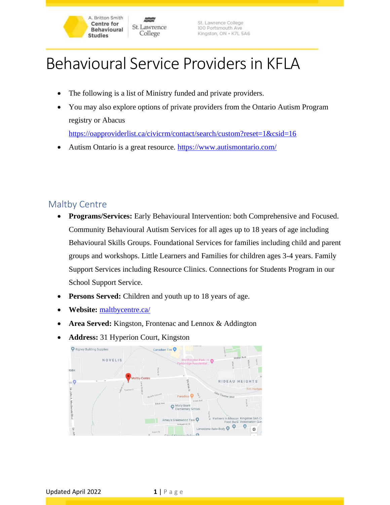# Behavioural Service Providers in KFLA

• The following is a list of Ministry funded and private providers.

St. Lawrence

College

• You may also explore options of private providers from the Ontario Autism Program registry or Abacus <https://oapproviderlist.ca/civicrm/contact/search/custom?reset=1&csid=16>

St. Lawrence College

100 Portsmouth Ave

Kingston, ON · K7L 5A6

• Autism Ontario is a great resource.<https://www.autismontario.com/>

### Maltby Centre

- **Programs/Services:** Early Behavioural Intervention: both Comprehensive and Focused. Community Behavioural Autism Services for all ages up to 18 years of age including Behavioural Skills Groups. Foundational Services for families including child and parent groups and workshops. Little Learners and Families for children ages 3-4 years. Family Support Services including Resource Clinics. Connections for Students Program in our School Support Service.
- **Persons Served:** Children and youth up to 18 years of age.
- **Website:** [maltbycentre.ca/](https://maltbycentre.ca/)

A. Britton Smith **Centre for** 

**Behavioural** 

**Studies** 

- **Area Served:** Kingston, Frontenac and Lennox & Addington
- **Address:** 31 Hyperion Court, Kingston

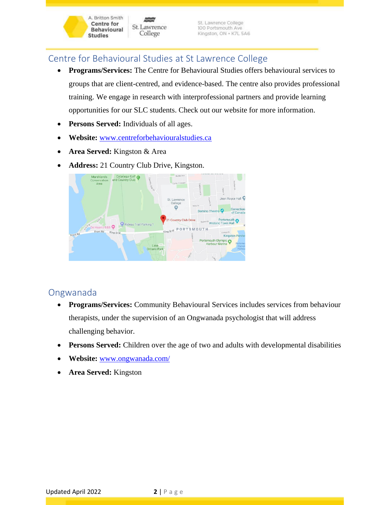## Centre for Behavioural Studies at St Lawrence College

St. Lawrence

College

• **Programs/Services:** The Centre for Behavioural Studies offers behavioural services to groups that are client-centred, and evidence-based. The centre also provides professional training. We engage in research with interprofessional partners and provide learning opportunities for our SLC students. Check out our website for more information.

St. Lawrence College<br>100 Portsmouth Ave

Kingston, ON · K7L 5A6

- **Persons Served:** Individuals of all ages.
- **Website:** [www.centreforbehaviouralstudies.ca](http://www.centreforbehaviouralstudies.ca/)
- **Area Served:** Kingston & Area

A. Britton Smith

**Centre for** 

**Studies** 

**Behavioural** 

• **Address:** 21 Country Club Drive, Kingston.



#### Ongwanada

- **Programs/Services:** Community Behavioural Services includes services from behaviour therapists, under the supervision of an Ongwanada psychologist that will address challenging behavior.
- **Persons Served:** Children over the age of two and adults with developmental disabilities
- **Website:** [www.ongwanada.com/](http://www.ongwanada.com/)
- **Area Served:** Kingston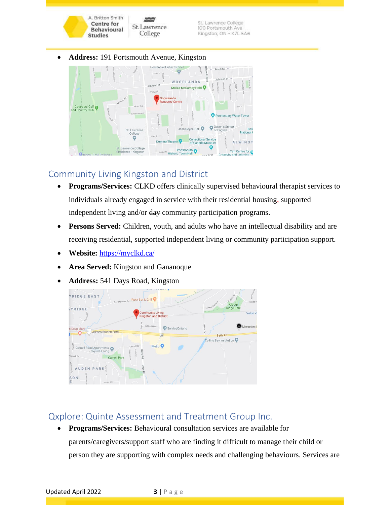

• **Address:** 191 Portsmouth Avenue, Kingston



# Community Living Kingston and District

- **Programs/Services:** CLKD offers clinically supervised behavioural therapist services to individuals already engaged in service with their residential housing, supported independent living and/or day community participation programs.
- **Persons Served:** Children, youth, and adults who have an intellectual disability and are receiving residential, supported independent living or community participation support.
- **Website:** <https://myclkd.ca/>
- **Area Served:** Kingston and Gananoque
- **Address:** 541 Days Road, Kingston



# Qxplore: Quinte Assessment and Treatment Group Inc.

• **Programs/Services:** Behavioural consultation services are available for parents/caregivers/support staff who are finding it difficult to manage their child or person they are supporting with complex needs and challenging behaviours. Services are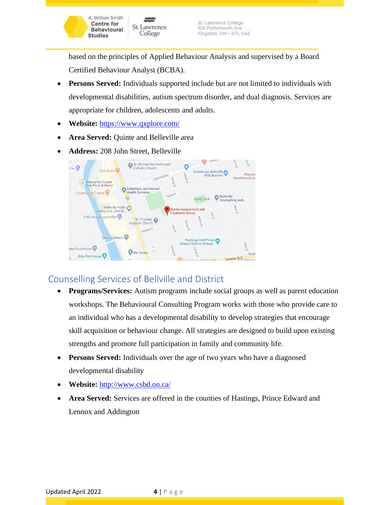based on the principles of Applied Behaviour Analysis and supervised by a Board Certified Behaviour Analyst (BCBA).

- **Persons Served:** Individuals supported include but are not limited to individuals with developmental disabilities, autism spectrum disorder, and dual diagnosis. Services are appropriate for children, adolescents and adults.
- **Website:** <https://www.qxplore.com/>

A. Britton Smith **Centre for** 

**Behavioural** 

**Studies** 

St. Lawrence

College

- **Area Served:** Quinte and Belleville area
- **Address:** 208 John Street, Belleville



## Counselling Services of Bellville and District

- **Programs/Services:** Autism programs include social groups as well as parent education workshops. The Behavioural Consulting Program works with those who provide care to an individual who has a developmental disability to develop strategies that encourage skill acquisition or behaviour change. All strategies are designed to build upon existing strengths and promote full participation in family and community life.
- **Persons Served:** Individuals over the age of two years who have a diagnosed developmental disability
- **Website:** <http://www.csbd.on.ca/>
- **Area Served:** Services are offered in the counties of Hastings, Prince Edward and Lennox and Addington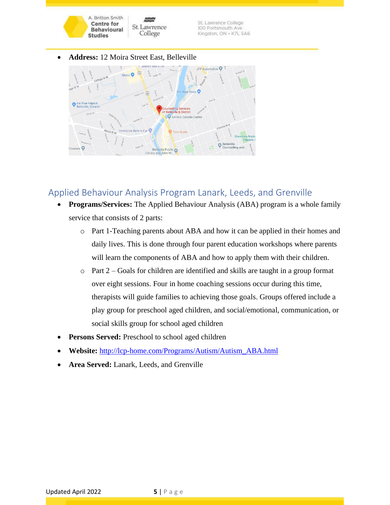

• **Address:** 12 Moira Street East, Belleville



### Applied Behaviour Analysis Program Lanark, Leeds, and Grenville

- **Programs/Services:** The Applied Behaviour Analysis (ABA) program is a whole family service that consists of 2 parts:
	- o Part 1-Teaching parents about ABA and how it can be applied in their homes and daily lives. This is done through four parent education workshops where parents will learn the components of ABA and how to apply them with their children.
	- o Part 2 Goals for children are identified and skills are taught in a group format over eight sessions. Four in home coaching sessions occur during this time, therapists will guide families to achieving those goals. Groups offered include a play group for preschool aged children, and social/emotional, communication, or social skills group for school aged children
- Persons Served: Preschool to school aged children
- **Website:** [http://lcp-home.com/Programs/Autism/Autism\\_ABA.html](http://lcp-home.com/Programs/Autism/Autism_ABA.html)
- **Area Served:** Lanark, Leeds, and Grenville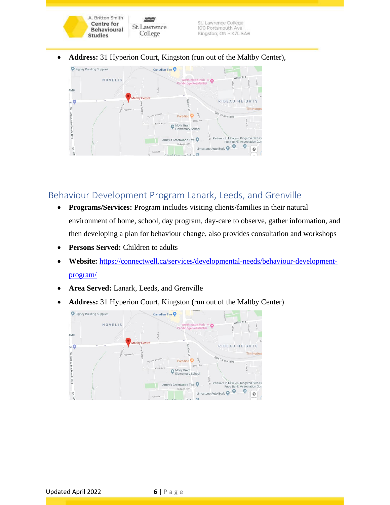

• **Address:** 31 Hyperion Court, Kingston (run out of the Maltby Center),



## Behaviour Development Program Lanark, Leeds, and Grenville

- **Programs/Services:** Program includes visiting clients/families in their natural environment of home, school, day program, day-care to observe, gather information, and then developing a plan for behaviour change, also provides consultation and workshops
- **Persons Served:** Children to adults
- **Website:** [https://connectwell.ca/services/developmental-needs/behaviour-development](https://connectwell.ca/services/developmental-needs/behaviour-development-program/)[program/](https://connectwell.ca/services/developmental-needs/behaviour-development-program/)
- **Area Served:** Lanark, Leeds, and Grenville
- **Address:** 31 Hyperion Court, Kingston (run out of the Maltby Center)

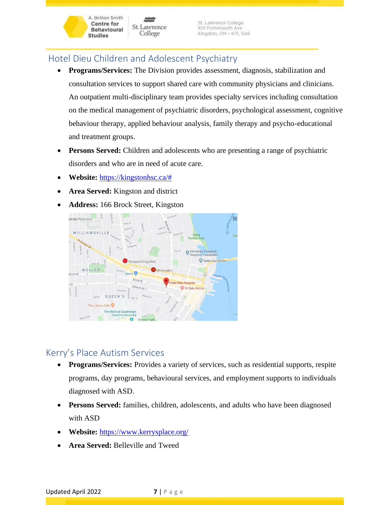# Hotel Dieu Children and Adolescent Psychiatry

St. Lawrence

College

• **Programs/Services:** The Division provides assessment, diagnosis, stabilization and consultation services to support shared care with community physicians and clinicians. An outpatient multi-disciplinary team provides specialty services including consultation on the medical management of psychiatric disorders, psychological assessment, cognitive behaviour therapy, applied behaviour analysis, family therapy and psycho-educational and treatment groups.

St. Lawrence College

100 Portsmouth Ave

Kingston, ON · K7L 5A6

- **Persons Served:** Children and adolescents who are presenting a range of psychiatric disorders and who are in need of acute care.
- **Website:** [https://kingstonhsc.ca/#](https://kingstonhsc.ca/)

A. Britton Smith **Centre for** 

**Behavioural** 

**Studies** 

- **Area Served:** Kingston and district
- **Address:** 166 Brock Street, Kingston



### Kerry's Place Autism Services

- **Programs/Services:** Provides a variety of services, such as residential supports, respite programs, day programs, behavioural services, and employment supports to individuals diagnosed with ASD.
- **Persons Served:** families, children, adolescents, and adults who have been diagnosed with ASD
- **Website:** <https://www.kerrysplace.org/>
- **Area Served:** Belleville and Tweed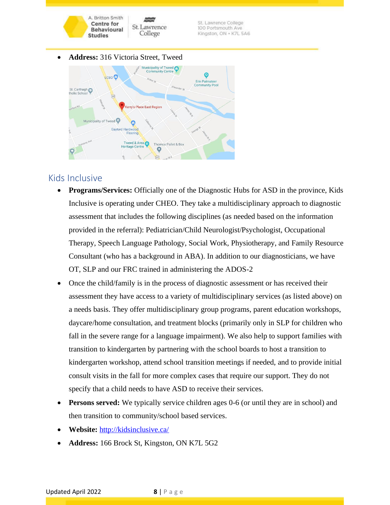

• **Address:** 316 Victoria Street, Tweed



#### Kids Inclusive

- **Programs/Services:** Officially one of the Diagnostic Hubs for ASD in the province, Kids Inclusive is operating under CHEO. They take a multidisciplinary approach to diagnostic assessment that includes the following disciplines (as needed based on the information provided in the referral): Pediatrician/Child Neurologist/Psychologist, Occupational Therapy, Speech Language Pathology, Social Work, Physiotherapy, and Family Resource Consultant (who has a background in ABA). In addition to our diagnosticians, we have OT, SLP and our FRC trained in administering the ADOS-2
- Once the child/family is in the process of diagnostic assessment or has received their assessment they have access to a variety of multidisciplinary services (as listed above) on a needs basis. They offer multidisciplinary group programs, parent education workshops, daycare/home consultation, and treatment blocks (primarily only in SLP for children who fall in the severe range for a language impairment). We also help to support families with transition to kindergarten by partnering with the school boards to host a transition to kindergarten workshop, attend school transition meetings if needed, and to provide initial consult visits in the fall for more complex cases that require our support. They do not specify that a child needs to have ASD to receive their services.
- **Persons served:** We typically service children ages 0-6 (or until they are in school) and then transition to community/school based services.
- **Website:** <http://kidsinclusive.ca/>
- **Address:** 166 Brock St, Kingston, ON K7L 5G2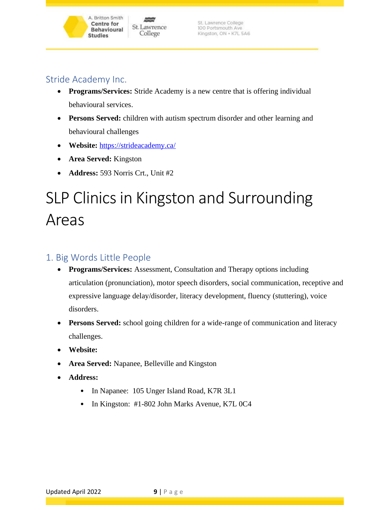### Stride Academy Inc.

A. Britton Smith **Centre for** 

**Behavioural** 

**Studies** 

St. Lawrence

College

- **Programs/Services:** Stride Academy is a new centre that is offering individual behavioural services.
- **Persons Served:** children with autism spectrum disorder and other learning and behavioural challenges
- **Website:** <https://strideacademy.ca/>
- **Area Served:** Kingston
- **Address:** 593 Norris Crt., Unit #2

# SLP Clinics in Kingston and Surrounding Areas

### 1. Big Words Little People

- **Programs/Services:** Assessment, Consultation and Therapy options including articulation (pronunciation), motor speech disorders, social communication, receptive and expressive language delay/disorder, literacy development, fluency (stuttering), voice disorders.
- **Persons Served:** school going children for a wide-range of communication and literacy challenges.
- **Website:**
- **Area Served:** Napanee, Belleville and Kingston
- **Address:** 
	- In Napanee: 105 Unger Island Road, K7R 3L1
	- In Kingston: #1-802 John Marks Avenue, K7L 0C4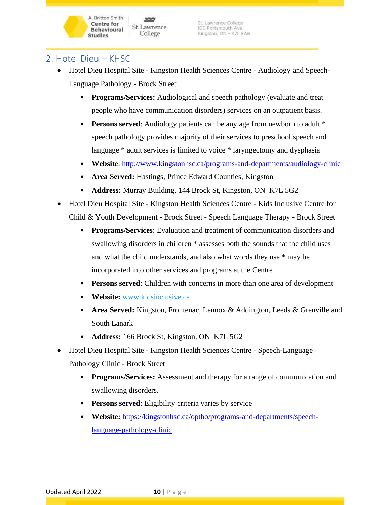## 2. Hotel Dieu – KHSC

**Centre for** 

**Studies** 

- Hotel Dieu Hospital Site Kingston Health Sciences Centre Audiology and Speech-Language Pathology - Brock Street
	- **Programs/Services:** Audiological and speech pathology (evaluate and treat people who have communication disorders) services on an outpatient basis.
	- **Persons served**: Audiology patients can be any age from newborn to adult \* speech pathology provides majority of their services to preschool speech and language \* adult services is limited to voice \* laryngectomy and dysphasia
	- **Website**:<http://www.kingstonhsc.ca/programs-and-departments/audiology-clinic>
	- **Area Served:** Hastings, Prince Edward Counties, Kingston
	- **Address:** Murray Building, 144 Brock St, Kingston, ON K7L 5G2
- Hotel Dieu Hospital Site Kingston Health Sciences Centre Kids Inclusive Centre for Child & Youth Development - Brock Street - Speech Language Therapy - Brock Street
	- **Programs/Services**: Evaluation and treatment of communication disorders and swallowing disorders in children \* assesses both the sounds that the child uses and what the child understands, and also what words they use \* may be incorporated into other services and programs at the Centre
	- **Persons served**: Children with concerns in more than one area of development
	- **Website:** [www.kidsinclusive.ca](http://www.kidsinclusive.ca/)
	- **Area Served:** Kingston, Frontenac, Lennox & Addington, Leeds & Grenville and South Lanark
	- **Address:** 166 Brock St, Kingston, ON K7L 5G2
- Hotel Dieu Hospital Site Kingston Health Sciences Centre Speech-Language Pathology Clinic - Brock Street
	- **Programs/Services:** Assessment and therapy for a range of communication and swallowing disorders.
	- **Persons served**: Eligibility criteria varies by service
	- **Website:** [https://kingstonhsc.ca/optho/programs-and-departments/speech](https://kingstonhsc.ca/optho/programs-and-departments/speech-language-pathology-clinic)[language-pathology-clinic](https://kingstonhsc.ca/optho/programs-and-departments/speech-language-pathology-clinic)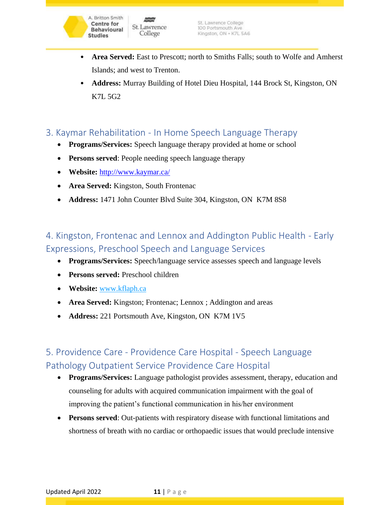

- **Area Served:** East to Prescott; north to Smiths Falls; south to Wolfe and Amherst Islands; and west to Trenton.
- **Address:** Murray Building of Hotel Dieu Hospital, 144 Brock St, Kingston, ON K7L 5G2

### 3. Kaymar Rehabilitation - In Home Speech Language Therapy

- **Programs/Services:** Speech language therapy provided at home or school
- **Persons served**: People needing speech language therapy
- **Website:** <http://www.kaymar.ca/>
- **Area Served:** Kingston, South Frontenac
- **Address:** 1471 John Counter Blvd Suite 304, Kingston, ON K7M 8S8

# 4. Kingston, Frontenac and Lennox and Addington Public Health - Early Expressions, Preschool Speech and Language Services

- **Programs/Services:** Speech/language service assesses speech and language levels
- **Persons served:** Preschool children
- **Website:** [www.kflaph.ca](http://www.kflaph.ca/)
- **Area Served:** Kingston; Frontenac; Lennox ; Addington and areas
- **Address:** 221 Portsmouth Ave, Kingston, ON K7M 1V5

# 5. Providence Care - Providence Care Hospital - Speech Language Pathology Outpatient Service Providence Care Hospital

- **Programs/Services:** Language pathologist provides assessment, therapy, education and counseling for adults with acquired communication impairment with the goal of improving the patient's functional communication in his/her environment
- **Persons served**: Out-patients with respiratory disease with functional limitations and shortness of breath with no cardiac or orthopaedic issues that would preclude intensive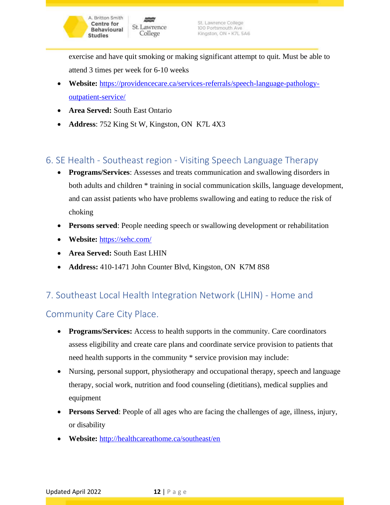exercise and have quit smoking or making significant attempt to quit. Must be able to attend 3 times per week for 6-10 weeks

- **Website:** [https://providencecare.ca/services-referrals/speech-language-pathology](https://providencecare.ca/services-referrals/speech-language-pathology-outpatient-service/)[outpatient-service/](https://providencecare.ca/services-referrals/speech-language-pathology-outpatient-service/)
- **Area Served:** South East Ontario
- **Address**: 752 King St W, Kingston, ON K7L 4X3

# 6. SE Health - Southeast region - Visiting Speech Language Therapy

- **Programs/Services**: Assesses and treats communication and swallowing disorders in both adults and children \* training in social communication skills, language development, and can assist patients who have problems swallowing and eating to reduce the risk of choking
- **Persons served**: People needing speech or swallowing development or rehabilitation
- **Website:** <https://sehc.com/>
- **Area Served:** South East LHIN
- **Address:** 410-1471 John Counter Blvd, Kingston, ON K7M 8S8

## 7. Southeast Local Health Integration Network (LHIN) - Home and

## Community Care City Place.

- **Programs/Services:** Access to health supports in the community. Care coordinators assess eligibility and create care plans and coordinate service provision to patients that need health supports in the community \* service provision may include:
- Nursing, personal support, physiotherapy and occupational therapy, speech and language therapy, social work, nutrition and food counseling (dietitians), medical supplies and equipment
- **Persons Served**: People of all ages who are facing the challenges of age, illness, injury, or disability
- **Website:** <http://healthcareathome.ca/southeast/en>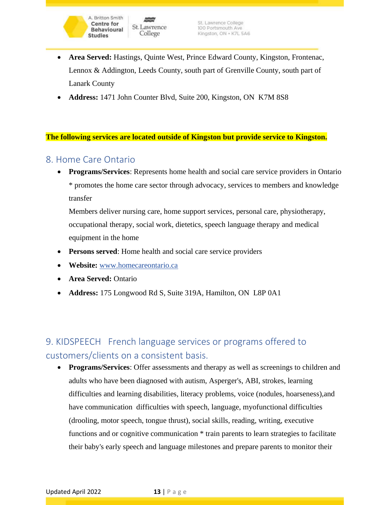- **Area Served:** Hastings, Quinte West, Prince Edward County, Kingston, Frontenac, Lennox & Addington, Leeds County, south part of Grenville County, south part of Lanark County
- **Address:** 1471 John Counter Blvd, Suite 200, Kingston, ON K7M 8S8

**The following services are located outside of Kingston but provide service to Kingston.**

### 8. Home Care Ontario

A. Britton Smith

**Centre for** 

**Studies** 

**Behavioural** 

• **Programs/Services**: Represents home health and social care service providers in Ontario \* promotes the home care sector through advocacy, services to members and knowledge transfer

Members deliver nursing care, home support services, personal care, physiotherapy, occupational therapy, social work, dietetics, speech language therapy and medical equipment in the home

- **Persons served:** Home health and social care service providers
- **Website:** [www.homecareontario.ca](http://www.homecareontario.ca/)
- **Area Served:** Ontario
- **Address:** 175 Longwood Rd S, Suite 319A, Hamilton, ON L8P 0A1

# 9. KIDSPEECH French language services or programs offered to customers/clients on a consistent basis.

• **Programs/Services**: Offer assessments and therapy as well as screenings to children and adults who have been diagnosed with autism, Asperger's, ABI, strokes, learning difficulties and learning disabilities, literacy problems, voice (nodules, hoarseness),and have communication difficulties with speech, language, myofunctional difficulties (drooling, motor speech, tongue thrust), social skills, reading, writing, executive functions and or cognitive communication  $*$  train parents to learn strategies to facilitate their baby's early speech and language milestones and prepare parents to monitor their